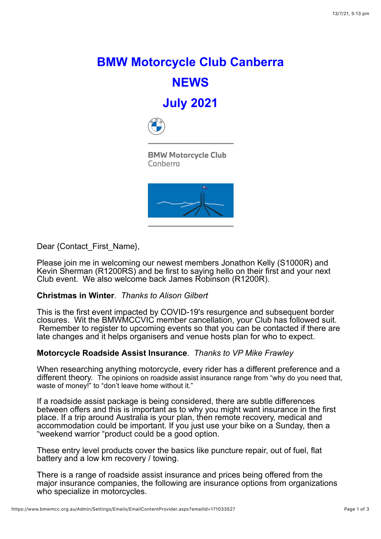## **BMW Motorcycle Club Canberra NEWS July 2021**



**BMW Motorcycle Club** Canberra



Dear {Contact\_First\_Name},

Please join me in welcoming our newest members Jonathon Kelly (S1000R) and Kevin Sherman (R1200RS) and be first to saying hello on their first and your next Club event. We also welcome back James Robinson (R1200R).

## **Christmas in Winter**. *Thanks to Alison Gilbert*

This is the first event impacted by COVID-19's resurgence and subsequent border closures. Wit the BMWMCCVIC member cancellation, your Club has followed suit. Remember to register to upcoming events so that you can be contacted if there are late changes and it helps organisers and venue hosts plan for who to expect.

## **Motorcycle Roadside Assist Insurance**. *Thanks to VP Mike Frawley*

When researching anything motorcycle, every rider has a different preference and a different theory. The opinions on roadside assist insurance range from "why do you need that, waste of money!" to "don't leave home without it."

If a roadside assist package is being considered, there are subtle differences between offers and this is important as to why you might want insurance in the first place. If a trip around Australia is your plan, then remote recovery, medical and accommodation could be important. If you just use your bike on a Sunday, then a "weekend warrior "product could be a good option.

These entry level products cover the basics like puncture repair, out of fuel, flat battery and a low km recovery / towing.

There is a range of roadside assist insurance and prices being offered from the major insurance companies, the following are insurance options from organizations who specialize in motorcycles.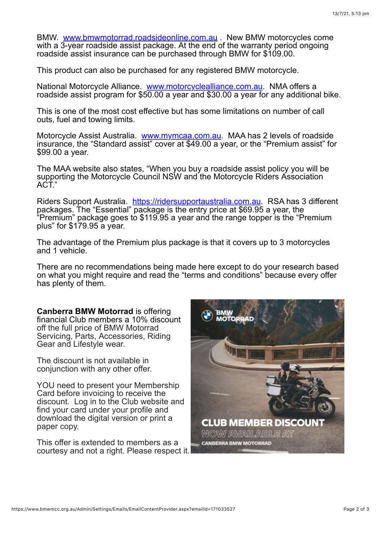BMW. [www.bmwmotorrad.roadsideonline.com.au](http://www.bmwmotorrad.roadsideonline.com.au/) . New BMW motorcycles come with a 3-year roadside assist package. At the end of the warranty period ongoing roadside assist insurance can be purchased through BMW for \$109.00.

This product can also be purchased for any registered BMW motorcycle.

National Motorcycle Alliance. [www.motorcyclealliance.com.au.](http://www.motorcyclealliance.com.au/) NMA offers a roadside assist program for \$50.00 a year and \$30.00 a year for any additional bike.

This is one of the most cost effective but has some limitations on number of call outs, fuel and towing limits.

Motorcycle Assist Australia. [www.mymcaa.com.au.](http://www.mymcaa.com.au/) MAA has 2 levels of roadside insurance, the "Standard assist" cover at \$49.00 a year, or the "Premium assist" for \$99.00 a year.

The MAA website also states, "When you buy a roadside assist policy you will be supporting the Motorcycle Council NSW and the Motorcycle Riders Association ACT."

Riders Support Australia. [https://ridersupportaustralia.com.au.](https://ridersupportaustralia.com.au/) RSA has 3 different packages. The "Essential" package is the entry price at \$69.95 a year, the "Premium" package goes to \$119.95 a year and the range topper is the "Premium plus" for \$179.95 a year.

The advantage of the Premium plus package is that it covers up to 3 motorcycles and 1 vehicle.

There are no recommendations being made here except to do your research based on what you might require and read the "terms and conditions" because every offer has plenty of them.

**Canberra BMW Motorrad** is offering financial Club members a 10% discount off the full price of BMW Motorrad Servicing, Parts, Accessories, Riding Gear and Lifestyle wear.

The discount is not available in conjunction with any other offer.

YOU need to present your Membership Card before invoicing to receive the discount. Log in to the Club website and find your card under your profile and download the digital version or print a paper copy.

This offer is extended to members as a courtesy and not a right. Please respect it.